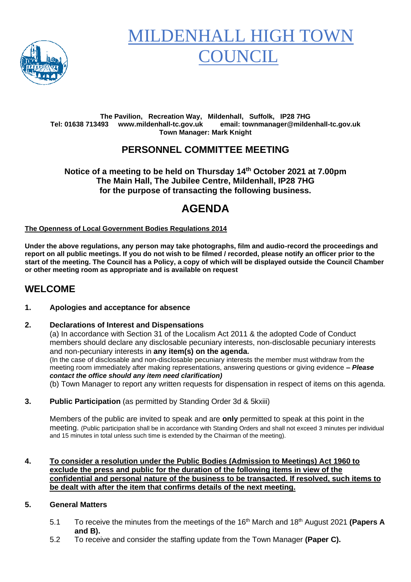

# **MILDENHALL HIGH TO OUNCIL**

#### **The Pavilion, Recreation Way, Mildenhall, Suffolk, IP28 7HG Tel: 01638 713493 www.mildenhall-tc.gov.uk email: townmanager@mildenhall-tc.gov.uk Town Manager: Mark Knight**

### **PERSONNEL COMMITTEE MEETING**

**Notice of a meeting to be held on Thursday 14 th October 2021 at 7.00pm The Main Hall, The Jubilee Centre, Mildenhall, IP28 7HG for the purpose of transacting the following business.**

# **AGENDA**

**The Openness of Local Government Bodies Regulations 2014**

**Under the above regulations, any person may take photographs, film and audio-record the proceedings and report on all public meetings. If you do not wish to be filmed / recorded, please notify an officer prior to the start of the meeting. The Council has a Policy, a copy of which will be displayed outside the Council Chamber or other meeting room as appropriate and is available on request**

### **WELCOME**

#### **1. Apologies and acceptance for absence**

#### **2. Declarations of Interest and Dispensations**

(a) In accordance with Section 31 of the Localism Act 2011 & the adopted Code of Conduct members should declare any disclosable pecuniary interests, non-disclosable pecuniary interests and non-pecuniary interests in **any item(s) on the agenda.** (In the case of disclosable and non-disclosable pecuniary interests the member must withdraw from the meeting room immediately after making representations, answering questions or giving evidence **–** *Please contact the office should any item need clarification)* (b) Town Manager to report any written requests for dispensation in respect of items on this agenda.

**3. Public Participation** (as permitted by Standing Order 3d & 5kxiii)

Members of the public are invited to speak and are **only** permitted to speak at this point in the meeting. (Public participation shall be in accordance with Standing Orders and shall not exceed 3 minutes per individual and 15 minutes in total unless such time is extended by the Chairman of the meeting).

#### **4. To consider a resolution under the Public Bodies (Admission to Meetings) Act 1960 to exclude the press and public for the duration of the following items in view of the confidential and personal nature of the business to be transacted. If resolved, such items to be dealt with after the item that confirms details of the next meeting.**

#### **5. General Matters**

- 5.1 To receive the minutes from the meetings of the 16th March and 18th August 2021 **(Papers A and B).**
- 5.2 To receive and consider the staffing update from the Town Manager **(Paper C).**